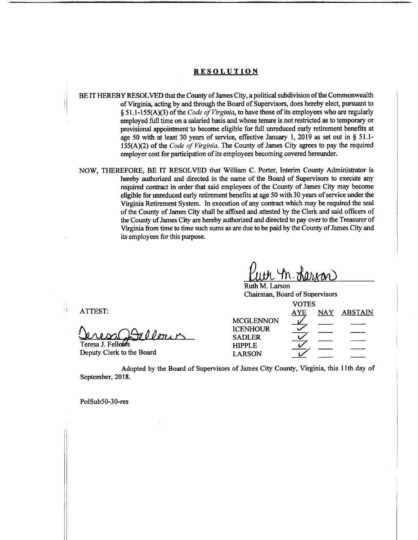## **RESOLUTION**

- BE IT HEREBY RESOLVED that the County of James City, a political subdivision of the Commonwealth of Virginia, acting by and through the Board of Supervisors, does hereby elect, pursuant to § 51.1-155(A)(3) of the *Code of Virginia*, to have those of its employees who are regularly employed full time on a salaried basis and whose tenure is not restricted as to temporary or provisional appointment to become eligible for full unreduced early retirement benefits at age 50 with at least 30 years of service, effective January 1, 2019 as set out in § 51.1- 155(A)(2) of the *Code of Virginia*. The County of James City agrees to pay the required employer cost for participation of its employees becoming covered hereunder.
- NOW, THEREFORE, BE IT RESOLVED that William C. Porter, Interim County Administrator is hereby authorized and directed in the name of the Board of Supervisors to execute any required contract in order that said employees of the County of James City may become eligible for unreduced early retirement benefits at age 50 with 30 years of service under the Virginia Retirement System. In execution of any contract which may be required the seal of the County of James City shall be affixed and attested by the Clerk and said officers of the County of James City are hereby authorized and directed to pay over to the Treasurer of Virginia from time to time such sums as are due to be paid by the County of James City and its employees for this purpose.

Wern Teresa J. Fellows

Deputy Clerk to the Board

Ruth M. Larson Chairman, Board of Supervisors

| ATTEST:                   | <b>VOTES</b>                                         |            |     |                |
|---------------------------|------------------------------------------------------|------------|-----|----------------|
|                           |                                                      | <b>AYE</b> | NAY | <b>ABSTAIN</b> |
| DA00 pour                 | <b>MCGLENNON</b><br><b>ICENHOUR</b><br><b>SADLER</b> |            |     |                |
| Teresa J. Fellows         | <b>HIPPLE</b>                                        |            |     |                |
| Deputy Clerk to the Board | <b>LARSON</b>                                        |            |     |                |

Adopted by the Board of Supervisors of James City County, Virginia, this 11th day of September, 2018.

PolSub50-30-res